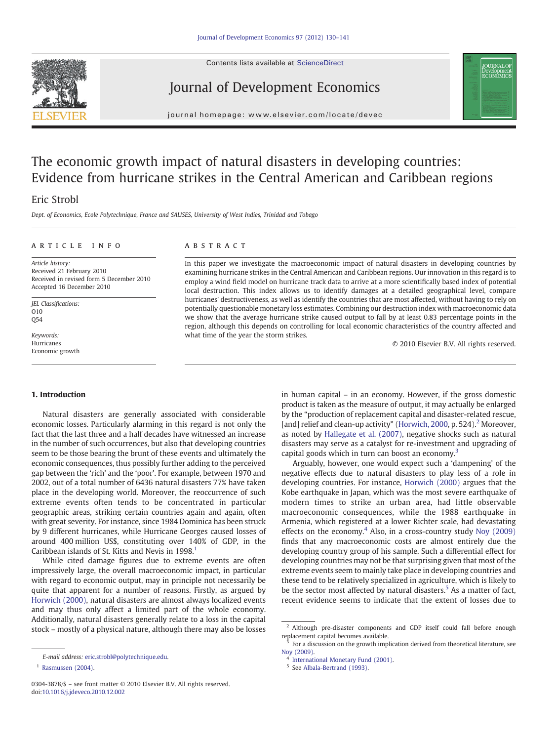Contents lists available at [ScienceDirect](http://www.sciencedirect.com/science/journal/03043878)





## Journal of Development Economics

journal homepage: www.elsevier.com/locate/devec

## The economic growth impact of natural disasters in developing countries: Evidence from hurricane strikes in the Central American and Caribbean regions

### Eric Strobl

Dept. of Economics, Ecole Polytechnique, France and SALISES, University of West Indies, Trinidad and Tobago

### article info abstract

Article history: Received 21 February 2010 Received in revised form 5 December 2010 Accepted 16 December 2010

JEL Classifications: O10  $054$ 

Keywords: Hurricanes Economic growth

### 1. Introduction

Natural disasters are generally associated with considerable economic losses. Particularly alarming in this regard is not only the fact that the last three and a half decades have witnessed an increase in the number of such occurrences, but also that developing countries seem to be those bearing the brunt of these events and ultimately the economic consequences, thus possibly further adding to the perceived gap between the 'rich' and the 'poor'. For example, between 1970 and 2002, out of a total number of 6436 natural disasters 77% have taken place in the developing world. Moreover, the reoccurrence of such extreme events often tends to be concentrated in particular geographic areas, striking certain countries again and again, often with great severity. For instance, since 1984 Dominica has been struck by 9 different hurricanes, while Hurricane Georges caused losses of around 400 million US\$, constituting over 140% of GDP, in the Caribbean islands of St. Kitts and Nevis in 1998.<sup>1</sup>

While cited damage figures due to extreme events are often impressively large, the overall macroeconomic impact, in particular with regard to economic output, may in principle not necessarily be quite that apparent for a number of reasons. Firstly, as argued by [Horwich \(2000\)](#page--1-0), natural disasters are almost always localized events and may thus only affect a limited part of the whole economy. Additionally, natural disasters generally relate to a loss in the capital stock – mostly of a physical nature, although there may also be losses

In this paper we investigate the macroeconomic impact of natural disasters in developing countries by examining hurricane strikes in the Central American and Caribbean regions. Our innovation in this regard is to employ a wind field model on hurricane track data to arrive at a more scientifically based index of potential local destruction. This index allows us to identify damages at a detailed geographical level, compare hurricanes' destructiveness, as well as identify the countries that are most affected, without having to rely on potentially questionable monetary loss estimates. Combining our destruction index with macroeconomic data we show that the average hurricane strike caused output to fall by at least 0.83 percentage points in the region, although this depends on controlling for local economic characteristics of the country affected and what time of the year the storm strikes.

© 2010 Elsevier B.V. All rights reserved.

in human capital – in an economy. However, if the gross domestic product is taken as the measure of output, it may actually be enlarged by the "production of replacement capital and disaster-related rescue, [and] relief and clean-up activity" [\(Horwich, 2000,](#page--1-0) p. 524). $^2$  Moreover, as noted by [Hallegate et al. \(2007\),](#page--1-0) negative shocks such as natural disasters may serve as a catalyst for re-investment and upgrading of capital goods which in turn can boost an economy.<sup>3</sup>

Arguably, however, one would expect such a 'dampening' of the negative effects due to natural disasters to play less of a role in developing countries. For instance, [Horwich \(2000\)](#page--1-0) argues that the Kobe earthquake in Japan, which was the most severe earthquake of modern times to strike an urban area, had little observable macroeconomic consequences, while the 1988 earthquake in Armenia, which registered at a lower Richter scale, had devastating effects on the economy. $4$  Also, in a cross-country study [Noy \(2009\)](#page--1-0) finds that any macroeconomic costs are almost entirely due the developing country group of his sample. Such a differential effect for developing countries may not be that surprising given that most of the extreme events seem to mainly take place in developing countries and these tend to be relatively specialized in agriculture, which is likely to be the sector most affected by natural disasters.<sup>5</sup> As a matter of fact, recent evidence seems to indicate that the extent of losses due to

E-mail address: [eric.strobl@polytechnique.edu](mailto:eric.strobl@polytechnique.edu).

 $1$  [Rasmussen \(2004\).](#page--1-0)

<sup>0304-3878/\$</sup> – see front matter © 2010 Elsevier B.V. All rights reserved. doi[:10.1016/j.jdeveco.2010.12.002](http://dx.doi.org/10.1016/j.jdeveco.2010.12.002)

<sup>&</sup>lt;sup>2</sup> Although pre-disaster components and GDP itself could fall before enough replacement capital becomes available.

 $3$  For a discussion on the growth implication derived from theoretical literature, see [Noy \(2009\).](#page--1-0)

<sup>4</sup> [International Monetary Fund \(2001\).](#page--1-0)

<sup>5</sup> See [Albala-Bertrand \(1993\).](#page--1-0)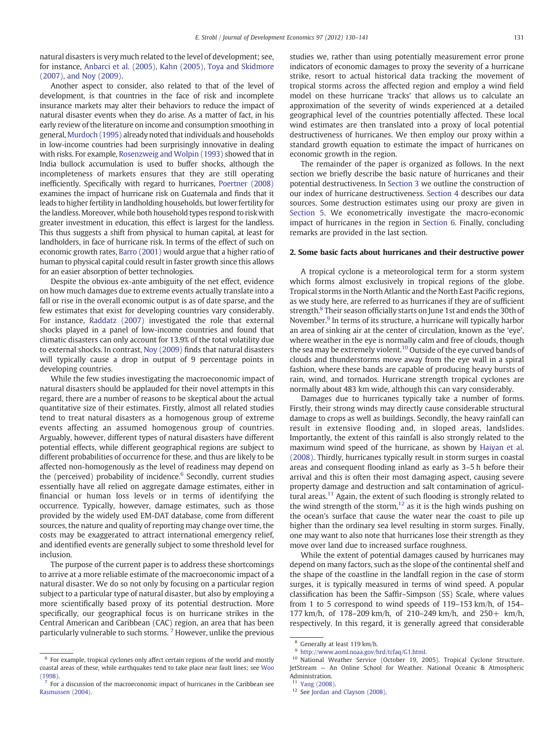natural disasters is very much related to the level of development; see, for instance, [Anbarci et al. \(2005\), Kahn \(2005\), Toya and Skidmore](#page--1-0) [\(2007\), and Noy \(2009\)](#page--1-0).

Another aspect to consider, also related to that of the level of development, is that countries in the face of risk and incomplete insurance markets may alter their behaviors to reduce the impact of natural disaster events when they do arise. As a matter of fact, in his early review of the literature on income and consumption smoothing in general, [Murdoch \(1995\)](#page--1-0) already noted that individuals and households in low-income countries had been surprisingly innovative in dealing with risks. For example, [Rosenzweig and Wolpin \(1993\)](#page--1-0) showed that in India bullock accumulation is used to buffer shocks, although the incompleteness of markets ensures that they are still operating inefficiently. Specifically with regard to hurricanes, [Poertner \(2008\)](#page--1-0) examines the impact of hurricane risk on Guatemala and finds that it leads to higher fertility in landholding households, but lower fertility for the landless. Moreover, while both household types respond to risk with greater investment in education, this effect is largest for the landless. This thus suggests a shift from physical to human capital, at least for landholders, in face of hurricane risk. In terms of the effect of such on economic growth rates, [Barro \(2001\)](#page--1-0) would argue that a higher ratio of human to physical capital could result in faster growth since this allows for an easier absorption of better technologies.

Despite the obvious ex-ante ambiguity of the net effect, evidence on how much damages due to extreme events actually translate into a fall or rise in the overall economic output is as of date sparse, and the few estimates that exist for developing countries vary considerably. For instance, [Raddatz \(2007\)](#page--1-0) investigated the role that external shocks played in a panel of low-income countries and found that climatic disasters can only account for 13.9% of the total volatility due to external shocks. In contrast, [Noy \(2009\)](#page--1-0) finds that natural disasters will typically cause a drop in output of 9 percentage points in developing countries.

While the few studies investigating the macroeconomic impact of natural disasters should be applauded for their novel attempts in this regard, there are a number of reasons to be skeptical about the actual quantitative size of their estimates. Firstly, almost all related studies tend to treat natural disasters as a homogenous group of extreme events affecting an assumed homogenous group of countries. Arguably, however, different types of natural disasters have different potential effects, while different geographical regions are subject to different probabilities of occurrence for these, and thus are likely to be affected non-homogenously as the level of readiness may depend on the (perceived) probability of incidence.<sup>6</sup> Secondly, current studies essentially have all relied on aggregate damage estimates, either in financial or human loss levels or in terms of identifying the occurrence. Typically, however, damage estimates, such as those provided by the widely used EM-DAT database, come from different sources, the nature and quality of reporting may change over time, the costs may be exaggerated to attract international emergency relief, and identified events are generally subject to some threshold level for inclusion.

The purpose of the current paper is to address these shortcomings to arrive at a more reliable estimate of the macroeconomic impact of a natural disaster. We do so not only by focusing on a particular region subject to a particular type of natural disaster, but also by employing a more scientifically based proxy of its potential destruction. More specifically, our geographical focus is on hurricane strikes in the Central American and Caribbean (CAC) region, an area that has been particularly vulnerable to such storms. <sup>7</sup> However, unlike the previous

studies we, rather than using potentially measurement error prone indicators of economic damages to proxy the severity of a hurricane strike, resort to actual historical data tracking the movement of tropical storms across the affected region and employ a wind field model on these hurricane 'tracks' that allows us to calculate an approximation of the severity of winds experienced at a detailed geographical level of the countries potentially affected. These local wind estimates are then translated into a proxy of local potential destructiveness of hurricanes. We then employ our proxy within a standard growth equation to estimate the impact of hurricanes on economic growth in the region.

The remainder of the paper is organized as follows. In the next section we briefly describe the basic nature of hurricanes and their potential destructiveness. In [Section 3](#page--1-0) we outline the construction of our index of hurricane destructiveness. [Section 4](#page--1-0) describes our data sources. Some destruction estimates using our proxy are given in [Section 5](#page--1-0). We econometrically investigate the macro-economic impact of hurricanes in the region in [Section 6](#page--1-0). Finally, concluding remarks are provided in the last section.

### 2. Some basic facts about hurricanes and their destructive power

A tropical cyclone is a meteorological term for a storm system which forms almost exclusively in tropical regions of the globe. Tropical storms in the North Atlantic and the North East Pacific regions, as we study here, are referred to as hurricanes if they are of sufficient strength.<sup>8</sup> Their season officially starts on June 1st and ends the 30th of November.9 In terms of its structure, a hurricane will typically harbor an area of sinking air at the center of circulation, known as the 'eye', where weather in the eye is normally calm and free of clouds, though the sea may be extremely violent.10 Outside of the eye curved bands of clouds and thunderstorms move away from the eye wall in a spiral fashion, where these bands are capable of producing heavy bursts of rain, wind, and tornados. Hurricane strength tropical cyclones are normally about 483 km wide, although this can vary considerably.

Damages due to hurricanes typically take a number of forms. Firstly, their strong winds may directly cause considerable structural damage to crops as well as buildings. Secondly, the heavy rainfall can result in extensive flooding and, in sloped areas, landslides. Importantly, the extent of this rainfall is also strongly related to the maximum wind speed of the hurricane, as shown by [Haiyan et al.](#page--1-0) [\(2008\).](#page--1-0) Thirdly, hurricanes typically result in storm surges in coastal areas and consequent flooding inland as early as 3–5 h before their arrival and this is often their most damaging aspect, causing severe property damage and destruction and salt contamination of agricultural areas.11 Again, the extent of such flooding is strongly related to the wind strength of the storm,<sup>12</sup> as it is the high winds pushing on the ocean's surface that cause the water near the coast to pile up higher than the ordinary sea level resulting in storm surges. Finally, one may want to also note that hurricanes lose their strength as they move over land due to increased surface roughness.

While the extent of potential damages caused by hurricanes may depend on many factors, such as the slope of the continental shelf and the shape of the coastline in the landfall region in the case of storm surges, it is typically measured in terms of wind speed. A popular classification has been the Saffir–Simpson (SS) Scale, where values from 1 to 5 correspond to wind speeds of 119–153 km/h, of 154– 177 km/h, of 178–209 km/h, of 210–249 km/h, and 250+ km/h, respectively. In this regard, it is generally agreed that considerable

 $6$  For example, tropical cyclones only affect certain regions of the world and mostly coastal areas of these, while earthquakes tend to take place near fault lines; see [Woo](#page--1-0) [\(1998\).](#page--1-0)

 $7$  For a discussion of the macroeconomic impact of hurricanes in the Caribbean see [Rasmussen \(2004\)](#page--1-0).

<sup>8</sup> Generally at least 119 km/h.

<sup>9</sup> [http://www.aoml.noaa.gov/hrd/tcfaq/G1.html.](http://www.aoml.noaa.gov/hrd/tcfaq/G1.html)

<sup>&</sup>lt;sup>10</sup> National Weather Service (October 19, 2005). Tropical Cyclone Structure. JetStream — An Online School for Weather. National Oceanic & Atmospheric Administration.

<sup>11</sup> [Yang \(2008\).](#page--1-0)

<sup>&</sup>lt;sup>12</sup> See [Jordan and Clayson \(2008\)](#page--1-0).